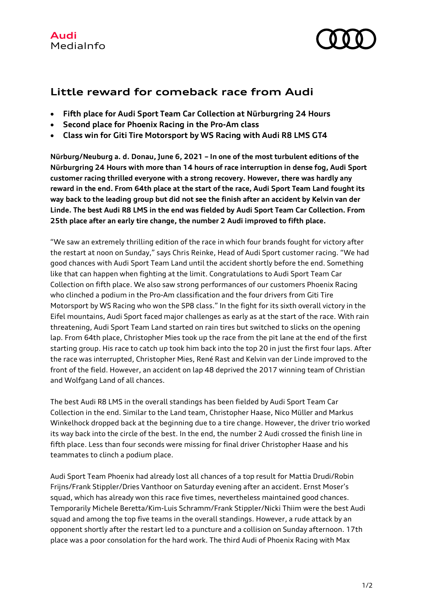

## **Little reward for comeback race from Audi**

- **Fifth place for Audi Sport Team Car Collection at Nürburgring 24 Hours**
- **Second place for Phoenix Racing in the Pro-Am class**
- **Class win for Giti Tire Motorsport by WS Racing with Audi R8 LMS GT4**

**Nürburg/Neuburg a. d. Donau, June 6, 2021 – In one of the most turbulent editions of the Nürburgring 24 Hours with more than 14 hours of race interruption in dense fog, Audi Sport customer racing thrilled everyone with a strong recovery. However, there was hardly any reward in the end. From 64th place at the start of the race, Audi Sport Team Land fought its way back to the leading group but did not see the finish after an accident by Kelvin van der Linde. The best Audi R8 LMS in the end was fielded by Audi Sport Team Car Collection. From 25th place after an early tire change, the number 2 Audi improved to fifth place.**

"We saw an extremely thrilling edition of the race in which four brands fought for victory after the restart at noon on Sunday," says Chris Reinke, Head of Audi Sport customer racing. "We had good chances with Audi Sport Team Land until the accident shortly before the end. Something like that can happen when fighting at the limit. Congratulations to Audi Sport Team Car Collection on fifth place. We also saw strong performances of our customers Phoenix Racing who clinched a podium in the Pro-Am classification and the four drivers from Giti Tire Motorsport by WS Racing who won the SP8 class." In the fight for its sixth overall victory in the Eifel mountains, Audi Sport faced major challenges as early as at the start of the race. With rain threatening, Audi Sport Team Land started on rain tires but switched to slicks on the opening lap. From 64th place, Christopher Mies took up the race from the pit lane at the end of the first starting group. His race to catch up took him back into the top 20 in just the first four laps. After the race was interrupted, Christopher Mies, René Rast and Kelvin van der Linde improved to the front of the field. However, an accident on lap 48 deprived the 2017 winning team of Christian and Wolfgang Land of all chances.

The best Audi R8 LMS in the overall standings has been fielded by Audi Sport Team Car Collection in the end. Similar to the Land team, Christopher Haase, Nico Müller and Markus Winkelhock dropped back at the beginning due to a tire change. However, the driver trio worked its way back into the circle of the best. In the end, the number 2 Audi crossed the finish line in fifth place. Less than four seconds were missing for final driver Christopher Haase and his teammates to clinch a podium place.

Audi Sport Team Phoenix had already lost all chances of a top result for Mattia Drudi/Robin Frijns/Frank Stippler/Dries Vanthoor on Saturday evening after an accident. Ernst Moser's squad, which has already won this race five times, nevertheless maintained good chances. Temporarily Michele Beretta/Kim-Luis Schramm/Frank Stippler/Nicki Thiim were the best Audi squad and among the top five teams in the overall standings. However, a rude attack by an opponent shortly after the restart led to a puncture and a collision on Sunday afternoon. 17th place was a poor consolation for the hard work. The third Audi of Phoenix Racing with Max